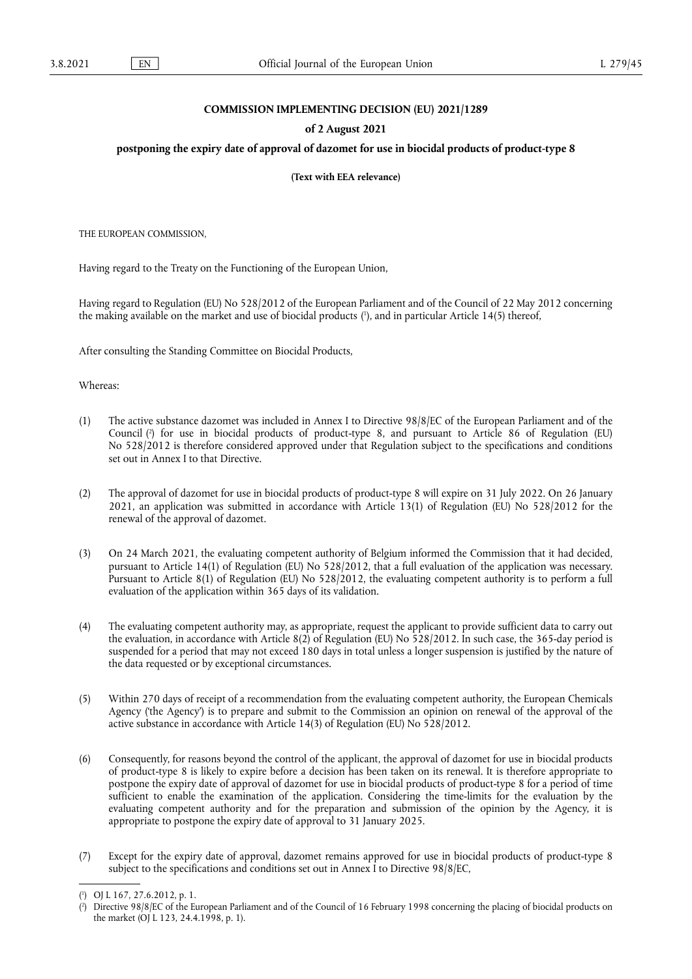## **COMMISSION IMPLEMENTING DECISION (EU) 2021/1289**

## **of 2 August 2021**

## **postponing the expiry date of approval of dazomet for use in biocidal products of product-type 8**

**(Text with EEA relevance)** 

THE EUROPEAN COMMISSION,

Having regard to the Treaty on the Functioning of the European Union,

<span id="page-0-2"></span>Having regard to Regulation (EU) No 528/2012 of the European Parliament and of the Council of 22 May 2012 concerning the making available on the market and use of biocidal products [\(](#page-0-0) 1 ), and in particular Article 14(5) thereof,

After consulting the Standing Committee on Biocidal Products,

Whereas:

- <span id="page-0-3"></span>(1) The active substance dazomet was included in Annex I to Directive 98/8/EC of the European Parliament and of the Council [\(](#page-0-1) 2 ) for use in biocidal products of product-type 8, and pursuant to Article 86 of Regulation (EU) No 528/2012 is therefore considered approved under that Regulation subject to the specifications and conditions set out in Annex I to that Directive.
- (2) The approval of dazomet for use in biocidal products of product-type 8 will expire on 31 July 2022. On 26 January 2021, an application was submitted in accordance with Article 13(1) of Regulation (EU) No 528/2012 for the renewal of the approval of dazomet.
- (3) On 24 March 2021, the evaluating competent authority of Belgium informed the Commission that it had decided, pursuant to Article 14(1) of Regulation (EU) No 528/2012, that a full evaluation of the application was necessary. Pursuant to Article 8(1) of Regulation (EU) No 528/2012, the evaluating competent authority is to perform a full evaluation of the application within 365 days of its validation.
- (4) The evaluating competent authority may, as appropriate, request the applicant to provide sufficient data to carry out the evaluation, in accordance with Article 8(2) of Regulation (EU) No 528/2012. In such case, the 365-day period is suspended for a period that may not exceed 180 days in total unless a longer suspension is justified by the nature of the data requested or by exceptional circumstances.
- (5) Within 270 days of receipt of a recommendation from the evaluating competent authority, the European Chemicals Agency ('the Agency') is to prepare and submit to the Commission an opinion on renewal of the approval of the active substance in accordance with Article 14(3) of Regulation (EU) No 528/2012.
- (6) Consequently, for reasons beyond the control of the applicant, the approval of dazomet for use in biocidal products of product-type 8 is likely to expire before a decision has been taken on its renewal. It is therefore appropriate to postpone the expiry date of approval of dazomet for use in biocidal products of product-type 8 for a period of time sufficient to enable the examination of the application. Considering the time-limits for the evaluation by the evaluating competent authority and for the preparation and submission of the opinion by the Agency, it is appropriate to postpone the expiry date of approval to 31 January 2025.
- (7) Except for the expiry date of approval, dazomet remains approved for use in biocidal products of product-type 8 subject to the specifications and conditions set out in Annex I to Directive 98/8/EC,

<span id="page-0-0"></span>[<sup>\(</sup>](#page-0-2) 1 ) OJ L 167, 27.6.2012, p. 1.

<span id="page-0-1"></span>[<sup>\(</sup>](#page-0-3) 2 ) Directive 98/8/EC of the European Parliament and of the Council of 16 February 1998 concerning the placing of biocidal products on the market (OJ L 123, 24.4.1998, p. 1).